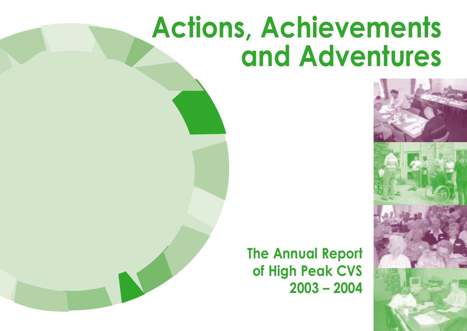# **Actions, Achievements and Adventures**

**The Annual Report of High Peak CVS 2003 – 2004**

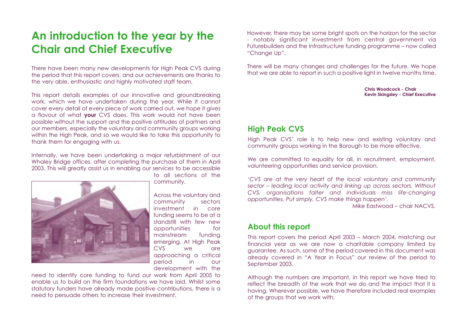# **An introduction to the year by the Chair and Chief Executive**

There have been many new developments for High Peak CVS during the period that this report covers, and our achievements are thanks to the very able, enthusiastic and highly motivated staff team.

This report details examples of our innovative and groundbreaking work, which we have undertaken during the year. While it cannot cover every detail of every piece of work carried out, we hope it gives a flavour of what **your** CVS does. This work would not have been possible without the support and the positive attitudes of partners and our members, especially the voluntary and community groups working within the High Peak, and so we would like to take this opportunity to thank them for engaging with us.

Internally, we have been undertaking a major refurbishment of our Whaley Bridge offices, after completing the purchase of them in April 2003. This will greatly assist us in enabling our services to be accessible



to all sections of the community.

Across the voluntary and community sectors investment in core funding seems to be at a standstill with few new opportunities for mainstream funding emerging. At High Peak CVS we are approaching a critical period in our development with the

need to identify core funding to fund our work from April 2005 to enable us to build on the firm foundations we have laid. Whilst some statutory funders have already made positive contributions, there is a need to persuade others to increase their investment.

However, there may be some bright spots on the horizon for the sector - notably significant investment from central government via Futurebuilders and the Infrastructure funding programme – now called "Change Up".

There will be many changes and challenges for the future. We hope that we are able to report in such a positive light in twelve months time.

> **Chris Woodcock - Chair Kevin Skingsley - Chief Executive**

## **High Peak CVS**

High Peak CVS' role is to help new and existing voluntary and community groups working in the Borough to be more effective.

We are committed to equality for all, in recruitment, employment, volunteering opportunities and service provision.

'*CVS are at the very heart of the local voluntary and community sector – leading local activity and linking up across sectors. Without CVS, organisations falter and individuals miss life-changing opportunities. Put simply, CVS make things happen'.*

Mike Eastwood – chair NACVS.

## **About this report**

This report covers the period April 2003 – March 2004, matching our financial year as we are now a charitable company limited by guarantee. As such, some of the period covered in this document was already covered in "A Year in Focus" our review of the period to September 2003.

Although the numbers are important, in this report we have tried to reflect the breadth of the work that we do and the impact that it is having. Wherever possible, we have therefore included real examples of the groups that we work with.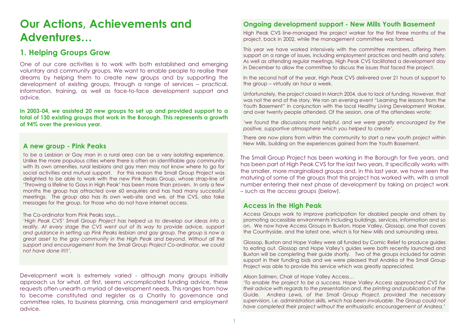# **Our Actions, Achievements and Adventures…**

## **1. Helping Groups Grow**

One of our core activities is to work with both established and emerging voluntary and community groups. We want to enable people to realise their dreams by helping them to create new groups and by supporting the development of existing groups, through a range of services – practical, information, training, as well as face-to-face development support and advice.

**In 2003-04, we assisted 20 new groups to set up and provided support to a total of 130 existing groups that work in the Borough. This represents a growth of 94% over the previous year.** 

#### **A new group - Pink Peaks**

To be a Lesbian or Gay man in a rural area can be a very isolating experience. Unlike the more populous cities where there is often an identifiable gay community with its own amenities, rural lesbians and gay men may not know where to go for social activities and mutual support. For this reason the Small Group Project was delighted to be able to work with the new Pink Peaks Group, whose strap-line of 'Throwing a lifeline to Gays in High Peak' has been more than proven. In only a few months the group has attracted over 60 enquiries and has had many successful meetings. The group also has its own web-site and we, at the CVS, also take messages for the group, for those who do not have internet access.

#### The Co-ordinator from Pink Peaks says…

*'High Peak CVS' Small Group Project has helped us to develop our ideas into a reality. At every stage the CVS went out of its way to provide advice, support and guidance in setting up Pink Peaks lesbian and gay group. The group is now a great asset to the gay community in the High Peak and beyond. Without all the support and encouragement from the Small Group Project Co-ordinator, we could not have done it!!!'.*

Development work is extremely varied - although many groups initially approach us for what, at first, seems uncomplicated funding advice, these requests often unearth a myriad of development needs. This ranges from how to become constituted and register as a Charity to governance and committee roles, to business planning, crisis management and employment advice.

## **Ongoing development support - New Mills Youth Basement**

High Peak CVS line-managed the project worker for the first three months of the project, back in 2002, while the management committee was formed.

This year we have worked intensively with the committee members, offering them support on a range of issues, including employment practices and health and safety. As well as attending regular meetings, High Peak CVS facilitated a development day in December to allow the committee to discuss the issues that faced the project.

In the second half of the year, High Peak CVS delivered over 21 hours of support to the group – virtually an hour a week.

Unfortunately, the project closed in March 2004, due to lack of funding. However, that was not the end of the story. We ran an evening event "Learning the lessons from the Youth Basement" in conjunction with the local Healthy Living Development Worker, and over twenty people attended. Of the session, one of the attendees wrote:

*'we found the discussions most helpful, and we were greatly encouraged by the positive, supportive atmosphere which you helped to create'.*

There are now plans from within the community to start a new youth project within New Mills, building on the experiences gained from the Youth Basement.

The Small Group Project has been working in the Borough for five years, and has been part of High Peak CVS for the last two years. It specifically works with the smaller, more marginalized groups and, in this last year, we have seen the maturing of some of the groups that this project has worked with, with a small number entering their next phase of development by taking on project work – such as the access groups (below).

## **Access in the High Peak**

Access Groups work to improve participation for disabled people and others by promoting accessible environments including buildings, services, information and so on. We now have Access Groups in Buxton, Hope Valley, Glossop, one that covers the Countryside, and the latest one, which is for New Mills and surrounding area.

Glossop, Buxton and Hope Valley were all funded by Comic Relief to produce guides to eating out. Glossop and Hope Valley's guides were both recently launched and Buxton will be completing their guide shortly. Two of the groups included for admin support in their funding bids and we were pleased that Andréa of the Small Group Project was able to provide this service which was greatly appreciated.

Alison Salmen, Chair of Hope Valley Access…

*'To enable the project to be a success, Hope Valley Access approached CVS for their advice with regards to the presentation and, the printing and publication of the Guide. Andrea Lewis, of the Small Group Project, provided the necessary supervision, i.e. administration skills, which has been invaluable. The Group could not have completed their project without the enthusiastic encouragement of Andrea.'*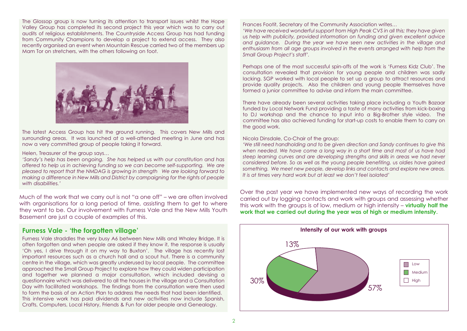The Glossop group is now turning its attention to transport issues whilst the Hope Valley Group has completed its second project this year which was to carry out audits of religious establishments. The Countryside Access Group has had funding from Community Champions to develop a project to extend access. They also recently organised an event when Mountain Rescue carried two of the members up Mam Tor on stretchers, with the others following on foot.



The latest Access Group has hit the ground running. This covers New Mills and surrounding areas. It was launched at a well-attended meeting in June and has now a very committed group of people taking it forward.

Helen, Treasurer of the group says…

*'Sandy's help has been ongoing. She has helped us with our constitution and has offered to help us in achieving funding so we can become self-supporting. We are pleased to report that the NMDAG is growing in strength We are looking forward to making a difference in New Mills and District by campaigning for the rights of people with disabilities.'*

Much of the work that we carry out is not "a one off" – we are often involved with organisations for a long period of time, assisting them to get to where they want to be. Our involvement with Furness Vale and the New Mills Youth Basement are just a couple of examples of this.

## **Furness Vale - 'the forgotten village'**

Furness Vale straddles the very busy A6 between New Mills and Whaley Bridge. It is often forgotten and when people are asked if they know it, the response is usually 'Oh yes, I drive through it on my way to Buxton'. The village has recently lost important resources such as a church hall and a scout hut. There is a community centre in the village, which was greatly underused by local people. The committee approached the Small Group Project to explore how they could widen participation and together we planned a major consultation, which included devising a questionnaire which was delivered to all the houses in the village and a Consultation Day with facilitated workshops. The findings from the consultation were then used to form the basis of an Action Plan to address the needs that had been identified. This intensive work has paid dividends and new activities now include Spanish, Crafts, Computers, Local History, Friends & Fun for older people and Genealogy.

Frances Footit, Secretary of the Community Association writes…

*'We have received wonderful support from High Peak CVS in all this; they have given us help with publicity, provided information on funding and given excellent advice and guidance. During the year we have seen new activities in the village and enthusiasm from all age groups involved in the events arranged with help from the Small Group Project's staff'.* 

Perhaps one of the most successful spin-offs of the work is 'Furness Kidz Club'. The consultation revealed that provision for young people and children was sadly lacking. SGP worked with local people to set up a group to attract resources and provide quality projects. Also the children and young people themselves have formed a junior committee to advise and inform the main committee.

There have already been several activities taking place including a Youth Bazaar funded by Local Network Fund providing a taste of many activities from kick-boxing to DJ workshop and the chance to input into a Big-Brother style video. The committee has also achieved funding for start-up costs to enable them to carry on the good work.

#### Nicola Dinsdale, Co-Chair of the group:

*'We still need handholding and to be given direction and Sandy continues to give this when needed. We have come a long way in a short time and most of us have had steep learning curves and are developing strengths and skills in areas we had never considered before. So as well as the young people benefiting, us oldies have gained something. We meet new people, develop links and contacts and explore new areas. It is at times very hard work but at least we don't feel isolated'*

Over the past year we have implemented new ways of recording the work carried out by logging contacts and work with groups and assessing whether this work with the groups is of low, medium or high intensity – **virtually half the work that we carried out during the year was of high or medium intensity.**

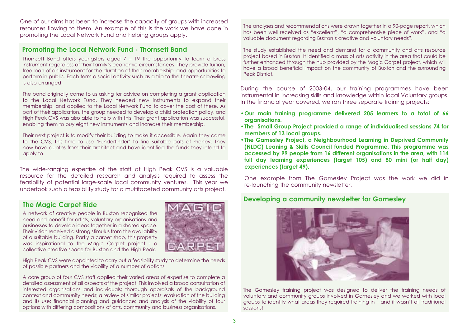One of our aims has been to increase the capacity of groups with increased resources flowing to them. An example of this is the work we have done in promoting the Local Network Fund and helping groups apply.

#### **Promoting the Local Network Fund - Thornsett Band**

Thornsett Band offers youngsters aged 7 – 19 the opportunity to learn a brass instrument regardless of their family's economic circumstances. They provide tuition, free loan of an instrument for the duration of their membership, and opportunities to perform in public. Each term a social activity such as a trip to the theatre or bowling is also arranged.

The band originally came to us asking for advice on completing a grant application to the Local Network Fund. They needed new instruments to expand their membership, and applied to the Local Network Fund to cover the cost of these. As part of their application, the group needed to develop a child protection policy, and High Peak CVS was also able to help with this. Their grant application was successful, enabling them to buy eight new instruments and increase their membership.

Their next project is to modify their building to make it accessible. Again they came to the CVS, this time to use 'Funderfinder' to find suitable pots of money. They now have quotes from their architect and have identified the funds they intend to apply to.

The wide-ranging expertise of the staff at High Peak CVS is a valuable resource for the detailed research and analysis required to assess the feasibility of potential large-scale local community ventures. This year we undertook such a feasibility study for a multifaceted community arts project.

### **The Magic Carpet Ride**

A network of creative people in Buxton recognised the need and benefit for artists, voluntary organisations and businesses to develop ideas together in a shared space. Their vision received a strong stimulus from the availability of a suitable building. Partly a carpet shop, this property was inspirational to the Magic Carpet project - a collective creative space for Buxton and the High Peak.



High Peak CVS were appointed to carry out a feasibility study to determine the needs of possible partners and the viability of a number of options.

A core group of four CVS staff applied their varied areas of expertise to complete a detailed assessment of all aspects of the project. This involved a broad consultation of interested organisations and individuals; thorough appraisals of the background context and community needs; a review of similar projects; evaluation of the building and its use; financial planning and guidance; and analysis of the viability of four options with differing compositions of arts, community and business organisations.

The analyses and recommendations were drawn together in a 90-page report, which has been well received as "excellent", "a comprehensive piece of work", and "a valuable document regarding Buxton's creative and voluntary needs".

The study established the need and demand for a community and arts resource project based in Buxton. It identified a mass of arts activity in the area that could be further enhanced through the hub provided by the Magic Carpet project, which will have a broad beneficial impact on the community of Buxton and the surrounding Peak District.

During the course of 2003-04, our training programmes have been instrumental in increasing skills and knowledge within local Voluntary groups. In the financial year covered, we ran three separate training projects:

- **•Our main training programme delivered 205 learners to a total of 66 organisations.**
- **•The Small Group Project provided a range of individualised sessions 74 for members of 13 local groups.**
- **•The Gamesley Project, a Neighbourhood Learning in Deprived Community (NLDC) Leaning & Skills Council funded Programme. This programme was accessed by 99 people from 16 different organisations in the area, with 114 full day learning experiences (target 105) and 80 mini (or half day) experiences (target 49).**

One example from The Gamesley Project was the work we did in re-launching the community newsletter.

### **Developing a community newsletter for Gamesley**



The Gamesley training project was designed to deliver the training needs of voluntary and community groups involved in Gamesley and we worked with local groups to identify what areas they required training in – and it wasn't all traditional sessions!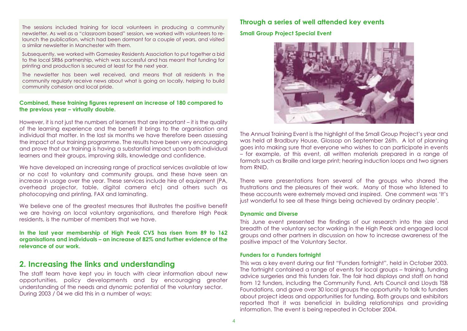The sessions included training for local volunteers in producing a community newsletter. As well as a "classroom based" session, we worked with volunteers to relaunch the publication, which had been dormant for a couple of years, and visited a similar newsletter in Manchester with them.

Subsequently, we worked with Gamesley Residents Association to put together a bid to the local SRB6 partnership, which was successful and has meant that funding for printing and production is secured at least for the next year.

The newsletter has been well received, and means that all residents in the community regularly receive news about what is going on locally, helping to build community cohesion and local pride.

#### **Combined, these training figures represent an increase of 180 compared to the previous year – virtually double.**

However, it is not just the numbers of learners that are important – it is the quality of the learning experience and the benefit it brings to the organisation and individual that matter. In the last six months we have therefore been assessing the impact of our training programme. The results have been very encouraging and prove that our training is having a substantial impact upon both individual learners and their groups, improving skills, knowledge and confidence.

We have developed an increasing range of practical services available at low or no cost to voluntary and community groups, and these have seen an increase in usage over the year. These services include hire of equipment (PA, overhead projector, table, digital camera etc) and others such as photocopying and printing, FAX and laminating.

We believe one of the greatest measures that illustrates the positive benefit we are having on local voluntary organisations, and therefore High Peak residents, is the number of members that we have.

**In the last year membership of High Peak CVS has risen from 89 to 162 organisations and individuals – an increase of 82% and further evidence of the relevance of our work.**

## **2. Increasing the links and understanding**

The staff team have kept you in touch with clear information about new opportunities, policy developments and by encouraging greater understanding of the needs and dynamic potential of the voluntary sector. During 2003 / 04 we did this in a number of ways:

#### **Through a series of well attended key events**

**Small Group Project Special Event**



The Annual Training Event is the highlight of the Small Group Project's year and was held at Bradbury House, Glossop on September 26th. A lot of planning goes into making sure that everyone who wishes to can participate in events – for example, at this event, all written materials prepared in a range of formats such as Braille and large print; hearing induction loops and two signers from RNID.

There were presentations from several of the groups who shared the frustrations and the pleasures of their work. Many of those who listened to these accounts were extremely moved and inspired. One comment was 'It's just wonderful to see all these things being achieved by ordinary people'.

#### **Dynamic and Diverse**

This June event presented the findings of our research into the size and breadth of the voluntary sector working in the High Peak and engaged local groups and other partners in discussion on how to increase awareness of the positive impact of the Voluntary Sector.

#### **Funders for a Funders fortnight**

This was a key event during our first "Funders fortnight", held in October 2003. The fortnight contained a range of events for local groups – training, funding advice surgeries and this funders fair. The fair had displays and staff on hand from 12 funders, including the Community Fund, Arts Council and Lloyds TSB Foundations, and gave over 30 local groups the opportunity to talk to funders about project ideas and opportunities for funding. Both groups and exhibitors reported that it was beneficial in building relationships and providing information. The event is being repeated in October 2004.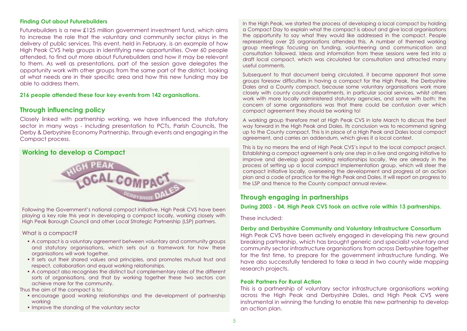#### **Finding Out about Futurebuilders**

Futurebuilders is a new £125 million government investment fund, which aims to increase the role that the voluntary and community sector plays in the delivery of public services. This event, held in February, is an example of how High Peak CVS help groups in identifying new opportunities. Over 60 people attended, to find out more about Futurebuilders and how it may be relevant to them. As well as presentations, part of the session gave delegates the opportunity work with other groups from the same part of the district, looking at what needs are in their specific area and how this new funding may be able to address them.

#### **216 people attended these four key events from 142 organisations.**

#### **Through influencing policy**

Closely linked with partnership working, we have influenced the statutory sector in many ways - including presentation to PCTs, Parish Councils, The Derby & Derbyshire Economy Partnership, through events and engaging in the Compact process.

#### **Working to develop a Compact**



Following the Government's national compact initiative, High Peak CVS have been playing a key role this year in developing a compact locally, working closely with High Peak Borough Council and other Local Strategic Partnership (LSP) partners.

#### What is a compact?

- A compact is a voluntary agreement between voluntary and community groups and statutory organisations, which sets out a framework for how these organisations will work together.
- It sets out their shared values and principles, and promotes mutual trust and respect, collaboration and equal working relationships.
- A compact also recognises the distinct but complementary roles of the different sorts of organisations, and that by working together these two sectors can achieve more for the community.

Thus the aim of the compact is to:

- encourage good working relationships and the development of partnership working
- Improve the standing of the voluntary sector

In the High Peak, we started the process of developing a local compact by holding a Compact Day to explain what the compact is about and give local organisations the opportunity to say what they would like addressed in the compact. People representing over 25 organisations attended this. A number of themed working group meetings focusing on funding, volunteering and communication and consultation followed. Ideas and information from these sessions were fed into a draft local compact, which was circulated for consultation and attracted many useful comments.

Subsequent to that document being circulated, it became apparent that some groups foresaw difficulties in having a compact for the High Peak, the Derbyshire Dales and a County compact, because some voluntary organisations work more closely with county council departments, in particular social services, whilst others work with more locally administered statutory agencies, and some with both: the concern of some organisations was that there could be confusion over which compact agreement they should be working to!

A working group therefore met at High Peak CVS in late March to discuss the best way forward in the High Peak and Dales. Its conclusion was to recommend signing up to the County compact. This is in place of a High Peak and Dales local compact agreement, and carries an addendum, which gives it a local context.

This is by no means the end of High Peak CVS's input to the local compact project. Establishing a compact agreement is only one step in a live and ongoing initiative to improve and develop good working relationships locally. We are already in the process of setting up a local compact implementation group, which will steer the compact initiative locally, overseeing the development and progress of an action plan and a code of practice for the High Peak and Dales. It will report on progress to the LSP and thence to the County compact annual review.

### **Through engaging in partnerships**

**During 2003 - 04, High Peak CVS took an active role within 13 partnerships.** 

#### These included:

#### **Derby and Derbyshire Community and Voluntary Infrastructure Consortium**

High Peak CVS have been actively engaged in developing this new ground breaking partnership, which has brought generic and specialist voluntary and community sector infrastructure organisations from across Derbyshire together for the first time, to prepare for the government infrastructure funding. We have also successfully tendered to take a lead in two county wide mapping research projects.

#### **Peak Partners For Rural Action**

This is a partnership of voluntary sector infrastructure organisations working across the High Peak and Derbyshire Dales, and High Peak CVS were instrumental in winning the funding to enable this new partnership to develop an action plan.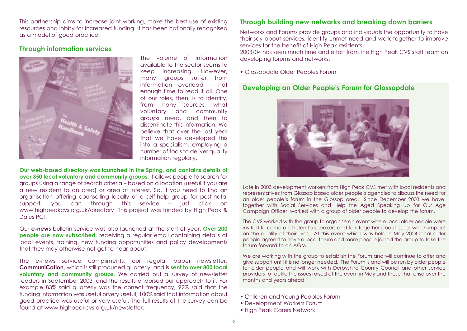This partnership aims to increase joint working, make the best use of existing resources and lobby for increased funding. It has been nationally recognised as a model of good practice.

#### **Through information services**



The volume of information available to the sector seems to keep increasing, However, many groups suffer from information overload – not enough time to read it all. One of our roles, then, is to identify, from many sources, what voluntary and community groups need, and then to disseminate this information. We believe that over the last year that we have developed this into a specialism, employing a number of tools to deliver quality information regularly.

**Our web-based directory was launched in the Spring, and contains details of over 350 local voluntary and community groups.** It allows people to search for groups using a range of search criteria – based on a location (useful if you are a new resident to an area) or area of interest. So, if you need to find an organisation offering counselling locally or a self-help group for post-natal support, you can through this service – just click on www.highpeakcvs.org.uk/directory This project was funded by High Peak & Dales PCT.

Our **e-news** bulletin service was also launched at the start of year. **Over 200 people are now subscribed,** receiving a regular email containing details of local events, training, new funding opportunities and policy developments that they may otherwise not get to hear about.

The e-news service compliments, our regular paper newsletter, **CommuniCation**, which is still produced quarterly, and is **sent to over 800 local voluntary and community groups.** We carried out a survey of newsletter readers in September 2003, and the results endorsed our approach to it. For example 83% said quarterly was the correct frequency, 92% said that the funding information was useful orvery useful, 100% said that information about good practice was useful or very useful. The full results of the survey can be found at www.highpeakcvs.org.uk/newsletter.

#### **Through building new networks and breaking down barriers**

Networks and Forums provide groups and individuals the opportunity to have their say about services, identify unmet need and work together to improve services for the benefit of High Peak residents.

2003/04 has seen much time and effort from the High Peak CVS staff team on developing forums and networks:

• Glossopdale Older Peoples Forum

**Developing an Older People's Forum for Glossopdale** 



Late in 2003 development workers from High Peak CVS met with local residents and representatives from Glossop based older people's agencies to discuss the need for an older people's forum in the Glossop area. Since December 2003 we have, together with Social Services and Help the Aged Speaking Up for Our Age Campaign Officer, worked with a group of older people to develop the forum.

The CVS worked with the group to organise an event where local older people were invited to come and listen to speakers and talk together about issues which impact on the quality of their lives. At this event which was held in May 2004 local older people agreed to have a local forum and more people joined the group to take the forum forward to an AGM.

We are working with the group to establish the Forum and will continue to offer and give support until it is no longer needed. The Forum is and will be run by older people for older people and will work with Derbyshire County Council and other service providers to tackle the issues raised at the event in May and those that arise over the months and years ahead.

- Children and Young Peoples Forum
- Development Workers Forum
- High Peak Carers Network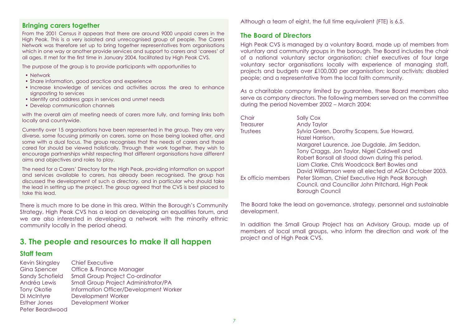#### **Bringing carers together**

From the 2001 Census it appears that there are around 9000 unpaid carers in the High Peak. This is a very isolated and unrecognised group of people. The Carers Network was therefore set up to bring together representatives from organisations which in one way or another provide services and support to carers and 'carees' of all ages. It met for the first time in January 2004, facilitated by High Peak CVS.

The purpose of the group is to provide participants with opportunities to

- Network
- Share information, good practice and experience
- Increase knowledge of services and activities across the area to enhance signposting to services
- Identify and address gaps in services and unmet needs
- Develop communication channels

with the overall aim of meeting needs of carers more fully, and forming links both locally and countywide.

Currently over 15 organisations have been represented in the group. They are very diverse, some focusing primarily on carers, some on those being looked after, and some with a dual focus. The group recognises that the needs of carers and those cared for should be viewed holistically. Through their work together, they wish to encourage partnerships whilst respecting that different organisations have different aims and objectives and roles to play.

The need for a Carers' Directory for the High Peak, providing information on support and services available to carers, has already been recognised. The group has discussed the development of such a directory, and in particular who should take the lead in setting up the project. The group agreed that the CVS is best placed to take this lead.

There is much more to be done in this area. Within the Borough's Community Strategy, High Peak CVS has a lead on developing an equalities forum, and we are also interested in developing a network with the minority ethnic community locally in the period ahead.

## **3. The people and resources to make it all happen**

## **Staff team**

Kevin Skingsley Chief Executive Gina Spencer Office & Finance Manager Sandy Schofield Small Group Project Co-ordinator Di McIntyre Development Worker Esther Jones Development Worker Peter Beardwood

Andréa Lewis Small Group Project Administrator/PA<br>Tony Okotie Information Officer/Development Wor Information Officer/Development Worker Although a team of eight, the full time equivalent (FTE) is 6.5.

#### **The Board of Directors**

High Peak CVS is managed by a voluntary Board, made up of members from voluntary and community groups in the borough. The Board includes the chair of a national voluntary sector organisation; chief executives of four large voluntary sector organisations locally with experience of managing staff, projects and budgets over £100,000 per organisation; local activists; disabled people; and a representative from the local faith community.

As a charitable company limited by guarantee, these Board members also serve as company directors. The following members served on the committee during the period November 2002 – March 2004:

| Chair              | Sally Cox                                              |
|--------------------|--------------------------------------------------------|
| Treasurer          | <b>Andy Taylor</b>                                     |
| <b>Trustees</b>    | Sylvia Green, Dorothy Scapens, Sue Howard,             |
|                    | Hazel Harrison,                                        |
|                    | Margaret Laurence, Joe Dugdale, Jim Seddon,            |
|                    | Tony Craggs, Jon Taylor, Nigel Caldwell and            |
|                    | Robert Bonsall all stood down during this period.      |
|                    | Liam Clarke, Chris Woodcock Bert Bowles and            |
|                    | David Williamson were all elected at AGM October 2003. |
| Ex officio members | Peter Sloman, Chief Executive High Peak Borough        |
|                    | Council, and Councillor John Pritchard, High Peak      |
|                    | <b>Borough Council</b>                                 |

The Board take the lead on governance, strategy, personnel and sustainable development.

In addition the Small Group Project has an Advisory Group, made up of members of local small groups, who inform the direction and work of the project and of High Peak CVS.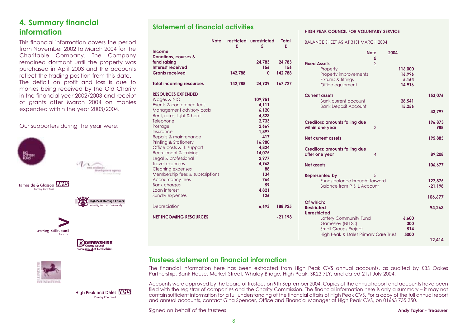## **4. Summary financial information**

This financial information covers the period from November 2002 to March 2004 for the Charitable Company. The Company remained dormant until the property was purchased in April 2003 and the accounts reflect the trading position from this date. The deficit on profit and loss is due to monies being received by the Old Charity in the financial year 2002/2003 and receipt of grants after March 2004 on monies expended within the year 2003/2004.

Our supporters during the year were:



## **Statement of financial activities**

|                                                        | <b>Note</b> | £       | restricted unrestricted<br>£ | Total<br>£ |
|--------------------------------------------------------|-------------|---------|------------------------------|------------|
| Income                                                 |             |         |                              |            |
| <b>Donations, courses &amp;</b><br>fund raising        |             |         | 24.783                       | 24,783     |
| Interest received                                      |             |         | 156                          | 156        |
| <b>Grants received</b>                                 |             | 142,788 | 0                            | 142.788    |
| <b>Total incoming resources</b>                        |             | 142,788 | 24,939                       | 167,727    |
| <b>RESOURCES EXPENDED</b>                              |             |         |                              |            |
| Wages & NIC                                            |             |         | 109,951                      |            |
| Events & conference fees                               |             |         | 4.111                        |            |
| Management advisory costs<br>Rent, rates, light & heat |             |         | 6.120<br>4,523               |            |
| Telephone                                              |             |         | 2.733                        |            |
| Postage                                                |             |         | 2.669                        |            |
| Insurance                                              |             |         | 1,897                        |            |
| Repairs & maintenance                                  |             |         | 417                          |            |
| Printing & Stationery                                  |             |         | 16,980                       |            |
| Office costs & IT. support                             |             |         | 4.824                        |            |
| Recruitment & training                                 |             |         | 14.075                       |            |
| Legal & professional                                   |             |         | 2,977                        |            |
| <b>Travel expenses</b><br><b>Cleaning expenses</b>     |             |         | 4.963<br>88                  |            |
| Membership fees & subscriptions                        |             |         | 134                          |            |
| <b>Accountancy fees</b>                                |             |         | 764                          |            |
| <b>Bank charges</b>                                    |             |         | 59                           |            |
| Loan interest                                          |             |         | 4,821                        |            |
| Sundry expenses                                        |             |         | 126                          |            |
| Depreciation                                           |             |         | 6,693                        | 188,925    |
| <b>NET INCOMING RESOURCES</b>                          |             |         |                              | $-21,198$  |
|                                                        |             |         |                              |            |

#### **HIGH PEAK COUNCIL FOR VOLUNTARY SERVICE**

BALANCE SHEET AS AT 31ST MARCH 2004

|                                                                                                                         | <b>Note</b><br>£ | 2004                                 |                      |
|-------------------------------------------------------------------------------------------------------------------------|------------------|--------------------------------------|----------------------|
| <b>Fixed Assets</b><br>Property<br>Property improvements<br>Fixtures & fittings<br>Office equipment                     | $\mathfrak{D}$   | 116,000<br>16.996<br>5.164<br>14,916 |                      |
| <b>Current assets</b><br><b>Bank current account</b><br><b>Bank Deposit Account</b>                                     |                  | 28,541<br>15.256                     | 153.076<br>43,797    |
| <b>Creditors: amounts falling due</b><br>within one year                                                                | 3                |                                      | 196,873<br>988       |
| Net current assets                                                                                                      |                  |                                      | 195,885              |
| <b>Creditors: amounts falling due</b><br>after one year                                                                 | 4                |                                      | 89,208               |
| Net assets                                                                                                              |                  |                                      | 106,677              |
| <b>Represented by</b><br>Funds balance brought forward<br>Balance from P & L Account                                    | 5                |                                      | 127,875<br>$-21,198$ |
| Of which:<br><b>Restricted</b><br><b>Unrestricted</b>                                                                   |                  |                                      | 106,677<br>94.263    |
| Lottery Community Fund<br><b>Gamesley (NLDC)</b><br><b>Small Groups Project</b><br>High Peak & Dales Primary Care Trust |                  | 6.600<br>300<br>514<br>5000          | 12.414               |

### **Trustees statement on financial information**

The financial information here has been extracted from High Peak CVS annual accounts, as audited by KBS Oakes Partnership, Bank House, Market Street, Whaley Bridge, High Peak, SK23 7LY, and dated 21st July 2004.

Accounts were approved by the board of trustees on 9th September 2004. Copies of the annual report and accounts have been filed with the registrar of companies and the Charity Commission. The financial information here is only a summary – it may not contain sufficient information for a full understanding of the financial affairs of High Peak CVS. For a copy of the full annual report and annual accounts, contact Gina Spencer, Office and Financial Manager at High Peak CVS, on 01663 735 350.

Signed on behalf of the trustees **Andy Taylor - Treasurer Andy Taylor - Treasurer**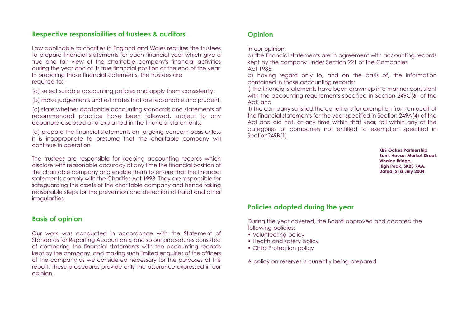## **Respective responsibilities of trustees & auditors**

Law applicable to charities in England and Wales requires the trustees to prepare financial statements for each financial year which give a true and fair view of the charitable company's financial activities during the year and of its true financial position at the end of the year. In preparing those financial statements, the trustees are required to: -

(a) select suitable accounting policies and apply them consistently;

(b) make judgements and estimates that are reasonable and prudent;

(c) state whether applicable accounting standards and statements of recommended practice have been followed, subject to any departure disclosed and explained in the financial statements;

(d) prepare the financial statements on a going concern basis unless it is inappropriate to presume that the charitable company will continue in operation

The trustees are responsible for keeping accounting records which disclose with reasonable accuracy at any time the financial position of the charitable company and enable them to ensure that the financial statements comply with the Charities Act 1993. They are responsible for safeguarding the assets of the charitable company and hence taking reasonable steps for the prevention and detection of fraud and other irregularities.

#### **Basis of opinion**

Our work was conducted in accordance with the Statement of Standards for Reporting Accountants, and so our procedures consisted of comparing the financial statements with the accounting records kept by the company, and making such limited enquiries of the officers of the company as we considered necessary for the purposes of this report. These procedures provide only the assurance expressed in our opinion.

## **Opinion**

In our opinion:

a) the financial statements are in agreement with accounting records kept by the company under Section 221 of the Companies Act 1985:

b) having regard only to, and on the basis of, the information contained in those accounting records:

I) the financial statements have been drawn up in a manner consistent with the accounting requirements specified in Section 249C(6) of the Act: and

II) the company satisfied the conditions for exemption from an audit of the financial statements for the year specified in Section 249A(4) of the Act and did not, at any time within that year, fall within any of the categories of companies not entitled to exemption specified in Section249B(1).

> **KBS Oakes Partnership Bank House, Market Street, Whaley Bridge, High Peak, SK23 7AA. Dated: 21st July 2004**

## **Policies adopted during the year**

During the year covered, the Board approved and adopted the following policies:

- Volunteering policy
- Health and safety policy
- Child Protection policy

A policy on reserves is currently being prepared.